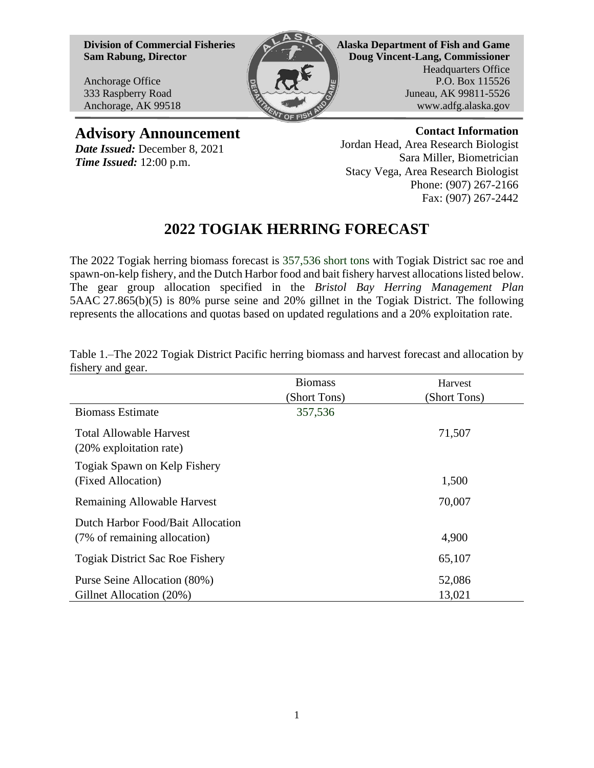**Division of Commercial Fisheries Sam Rabung, Director**

Anchorage Office 333 Raspberry Road Anchorage, AK 99518



**Alaska Department of Fish and Game Doug Vincent-Lang, Commissioner** Headquarters Office P.O. Box 115526 Juneau, AK 99811-5526 www.adfg.alaska.gov

## **Advisory Announcement**

*Date Issued:* December 8, 2021 *Time Issued:* 12:00 p.m.

**Contact Information** Jordan Head, Area Research Biologist Sara Miller, Biometrician Stacy Vega, Area Research Biologist Phone: (907) 267-2166 Fax: (907) 267-2442

## **2022 TOGIAK HERRING FORECAST**

The 2022 Togiak herring biomass forecast is 357,536 short tons with Togiak District sac roe and spawn-on-kelp fishery, and the Dutch Harbor food and bait fishery harvest allocations listed below. The gear group allocation specified in the *Bristol Bay Herring Management Plan* 5AAC 27.865(b)(5) is 80% purse seine and 20% gillnet in the Togiak District. The following represents the allocations and quotas based on updated regulations and a 20% exploitation rate.

| $\tilde{\phantom{a}}$                                             | <b>Biomass</b><br>(Short Tons) | Harvest<br>(Short Tons) |
|-------------------------------------------------------------------|--------------------------------|-------------------------|
| <b>Biomass Estimate</b>                                           | 357,536                        |                         |
| <b>Total Allowable Harvest</b><br>(20% exploitation rate)         |                                | 71,507                  |
| Togiak Spawn on Kelp Fishery<br>(Fixed Allocation)                |                                | 1,500                   |
| <b>Remaining Allowable Harvest</b>                                |                                | 70,007                  |
| Dutch Harbor Food/Bait Allocation<br>(7% of remaining allocation) |                                | 4,900                   |
| <b>Togiak District Sac Roe Fishery</b>                            |                                | 65,107                  |
| Purse Seine Allocation (80%)<br>Gillnet Allocation (20%)          |                                | 52,086<br>13,021        |

Table 1.*–*The 2022 Togiak District Pacific herring biomass and harvest forecast and allocation by fishery and gear.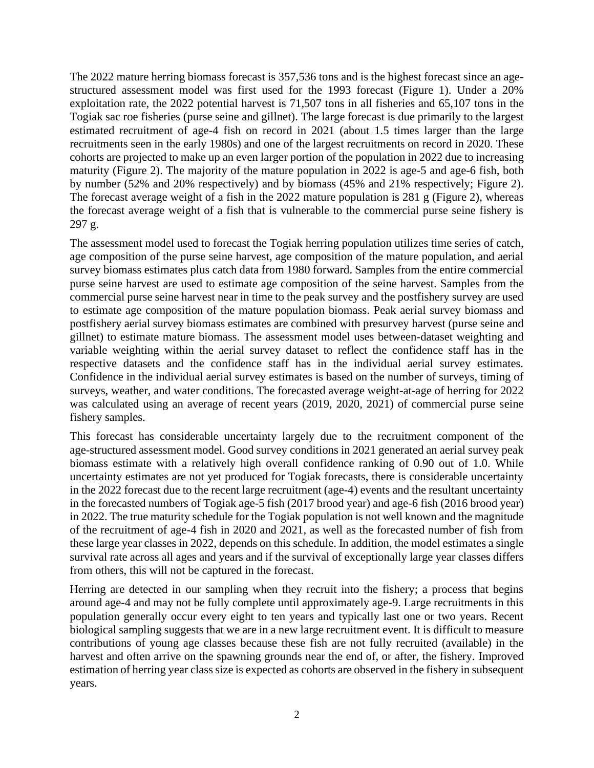The 2022 mature herring biomass forecast is 357,536 tons and is the highest forecast since an agestructured assessment model was first used for the 1993 forecast (Figure 1). Under a 20% exploitation rate, the 2022 potential harvest is 71,507 tons in all fisheries and 65,107 tons in the Togiak sac roe fisheries (purse seine and gillnet). The large forecast is due primarily to the largest estimated recruitment of age-4 fish on record in 2021 (about 1.5 times larger than the large recruitments seen in the early 1980s) and one of the largest recruitments on record in 2020. These cohorts are projected to make up an even larger portion of the population in 2022 due to increasing maturity (Figure 2). The majority of the mature population in 2022 is age-5 and age-6 fish, both by number (52% and 20% respectively) and by biomass (45% and 21% respectively; Figure 2). The forecast average weight of a fish in the 2022 mature population is 281 g (Figure 2), whereas the forecast average weight of a fish that is vulnerable to the commercial purse seine fishery is 297 g.

The assessment model used to forecast the Togiak herring population utilizes time series of catch, age composition of the purse seine harvest, age composition of the mature population, and aerial survey biomass estimates plus catch data from 1980 forward. Samples from the entire commercial purse seine harvest are used to estimate age composition of the seine harvest. Samples from the commercial purse seine harvest near in time to the peak survey and the postfishery survey are used to estimate age composition of the mature population biomass. Peak aerial survey biomass and postfishery aerial survey biomass estimates are combined with presurvey harvest (purse seine and gillnet) to estimate mature biomass. The assessment model uses between-dataset weighting and variable weighting within the aerial survey dataset to reflect the confidence staff has in the respective datasets and the confidence staff has in the individual aerial survey estimates. Confidence in the individual aerial survey estimates is based on the number of surveys, timing of surveys, weather, and water conditions. The forecasted average weight-at-age of herring for 2022 was calculated using an average of recent years (2019, 2020, 2021) of commercial purse seine fishery samples.

This forecast has considerable uncertainty largely due to the recruitment component of the age-structured assessment model. Good survey conditions in 2021 generated an aerial survey peak biomass estimate with a relatively high overall confidence ranking of 0.90 out of 1.0. While uncertainty estimates are not yet produced for Togiak forecasts, there is considerable uncertainty in the 2022 forecast due to the recent large recruitment (age-4) events and the resultant uncertainty in the forecasted numbers of Togiak age-5 fish (2017 brood year) and age-6 fish (2016 brood year) in 2022. The true maturity schedule for the Togiak population is not well known and the magnitude of the recruitment of age-4 fish in 2020 and 2021, as well as the forecasted number of fish from these large year classes in 2022, depends on this schedule. In addition, the model estimates a single survival rate across all ages and years and if the survival of exceptionally large year classes differs from others, this will not be captured in the forecast.

Herring are detected in our sampling when they recruit into the fishery; a process that begins around age-4 and may not be fully complete until approximately age-9. Large recruitments in this population generally occur every eight to ten years and typically last one or two years. Recent biological sampling suggests that we are in a new large recruitment event. It is difficult to measure contributions of young age classes because these fish are not fully recruited (available) in the harvest and often arrive on the spawning grounds near the end of, or after, the fishery. Improved estimation of herring year class size is expected as cohorts are observed in the fishery in subsequent years.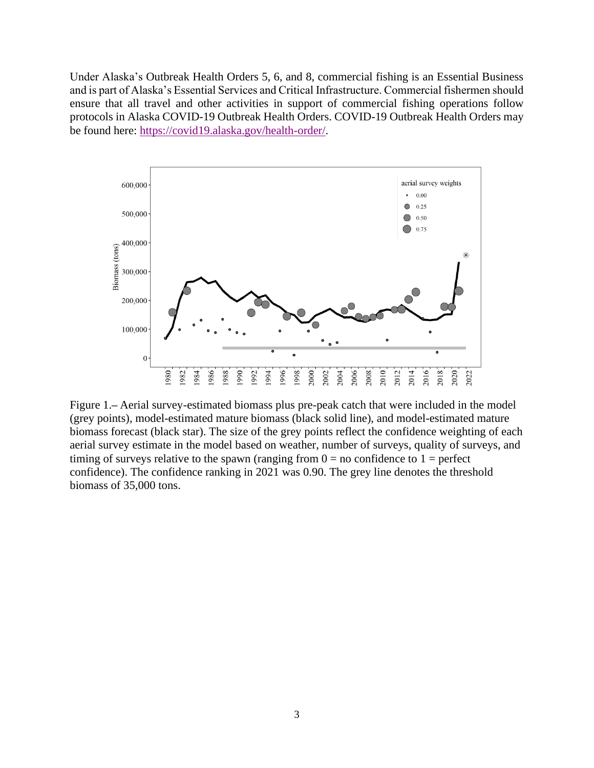Under Alaska's Outbreak Health Orders 5, 6, and 8, commercial fishing is an Essential Business and is part of Alaska's Essential Services and Critical Infrastructure. Commercial fishermen should ensure that all travel and other activities in support of commercial fishing operations follow protocols in Alaska COVID-19 Outbreak Health Orders. COVID-19 Outbreak Health Orders may be found here: [https://covid19.alaska.gov/health-order/.](https://covid19.alaska.gov/health-order/)



Figure 1.**–** Aerial survey-estimated biomass plus pre-peak catch that were included in the model (grey points), model-estimated mature biomass (black solid line), and model-estimated mature biomass forecast (black star). The size of the grey points reflect the confidence weighting of each aerial survey estimate in the model based on weather, number of surveys, quality of surveys, and timing of surveys relative to the spawn (ranging from  $0 =$  no confidence to  $1 =$  perfect confidence). The confidence ranking in 2021 was 0.90. The grey line denotes the threshold biomass of 35,000 tons.